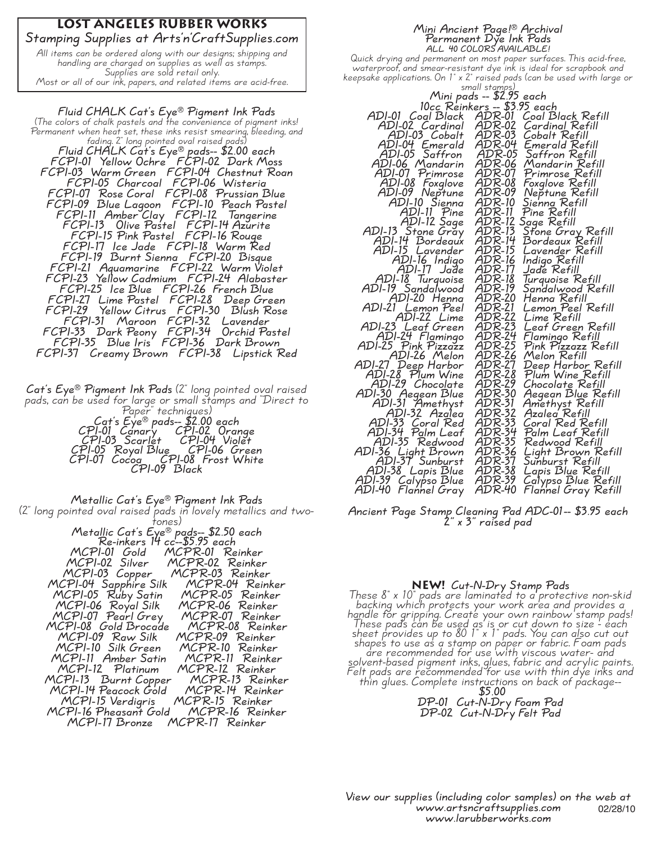### **Lost Angeles Rubber Works Stamping Supplies at Arts'n'CraftSupplies.com**

All items can be ordered along with our designs; shipping and handling are charged on supplies as well as stamps. Supplies are sold retail only. Most or all of our ink, papers, and related items are acid-free.

**Fluid CHALK Cat's Eye® Pigment Ink Pads** (The colors of chalk pastels and the convenience of pigment inks! Permanent when heat set, these inks resist smearing, bleeding, and fading. 2" long pointed oval raised pads) **Fluid CHALK Cat's Eye® pads-- \$2.00 each FCPI-01 Yellow Ochre FCPI-02 Dark Moss FCPI-03 Warm Green FCPI-04 Chestnut Roan FCPI-05 Charcoal FCPI-06 Wisteria FCPI-07 Rose Coral FCPI-08 Prussian Blue FCPI-09 Blue Lagoon FCPI-10 Peach Pastel FCPI-11 Amber Clay FCPI-12 Tangerine FCPI-13 Olive Pastel FCPI-14 Azurite FCPI-15 Pink Pastel FCPI-16 Rouge FCPI-17 Ice Jade FCPI-18 Warm Red FCPI-19 Burnt Sienna FCPI-20 Bisque FCPI-21 Aquamarine FCPI-22 Warm Violet FCPI-23 Yellow Cadmium FCPI-24 Alabaster FCPI-25 Ice Blue FCPI-26 French Blue FCPI-27 Lime Pastel FCPI-28 Deep Green FCPI-29 Yellow Citrus FCPI-30 Blush Rose FCPI-31 Maroon FCPI-32 Lavender FCPI-33 Dark Peony FCPI-34 Orchid Pastel FCPI-35 Blue Iris FCPI-36 Dark Brown FCPI-37 Creamy Brown FCPI-38 Lipstick Red**

**Cat's Eye® Pigment Ink Pads** (2" long pointed oval raised pads, can be used for large or small stamps and "Direct to Paper" techniques) **Cat's Eye® pads-- \$2.00 each CPI-01 Canary CPI-02 Orange CPI-03 Scarlet CPI-04 Violet CPI-05 Royal Blue CPI-06 Green CPI-07 Cocoa CPI-08 Frost White CPI-09 Black**

**Metallic Cat's Eye® Pigment Ink Pads** (2" long pointed oval raised pads in lovely metallics and two- tones) **Metallic Cat's Eye® pads-- \$2.50 each Re-inkers 14 cc--\$5.95 each** MCPI-01 Gold MCPR-01 Reinker<br>
MCPI-02 Silver MCPR-02 Reinker<br>
MCPI-04 Sapphire Silk MCPR-04 Reinker<br>
MCPI-04 Sapphire Silk MCPR-04 Reinker<br>
MCPI-05 Ruby Satin MCPR-05 Reinker<br>
MCPI-06 Royal Silk MCPR-06 Reinker<br>
MCPI-07 Pe

#### **Mini Ancient Page!® Archival Permanent Dye Ink Pads ALL 40 COLORS AVAILABLE!**

Quick drying and permanent on most paper surfaces. This acid-free, waterproof, and smear-resistant dye ink is ideal for scrapbook and keepsake applications. On 1" x 2" raised pads (can be used with large or

|                                                                                                                                               | small stamps)                                                                                  |  |  |
|-----------------------------------------------------------------------------------------------------------------------------------------------|------------------------------------------------------------------------------------------------|--|--|
| Mini pads — \$2.95 each<br>10cc Reinkers — \$3.95 each<br>ogl Black   ADR-01, Coal Black Refill                                               |                                                                                                |  |  |
|                                                                                                                                               |                                                                                                |  |  |
| ADI-01 Coal Black                                                                                                                             |                                                                                                |  |  |
|                                                                                                                                               |                                                                                                |  |  |
| ADI-02 Cardinal                                                                                                                               | ADR-02<br>Cardinal Refill                                                                      |  |  |
| ADI-03 Cobalt                                                                                                                                 | ADR-03<br>Cobalt Refill                                                                        |  |  |
|                                                                                                                                               | ADR-04<br>Emerald Refill                                                                       |  |  |
| ADI-04 Emerald<br>ADI-05 Saffron                                                                                                              | ADR-05<br>Saffron Refill                                                                       |  |  |
| ADI-06 Mandarin                                                                                                                               | ADR-06<br>Mandarin Refill                                                                      |  |  |
|                                                                                                                                               | ADR-07<br>Primrose Refill                                                                      |  |  |
| ADI-07 Primrose<br>ADI-08 Foxglove<br>ADI-09 Neptune<br>ADI-10 Sienna                                                                         | ADR-08<br>ADR-09<br>Foxglove Refill<br>Neptune Refill<br>Sienna Refill                         |  |  |
|                                                                                                                                               |                                                                                                |  |  |
|                                                                                                                                               | ADR-10                                                                                         |  |  |
|                                                                                                                                               | ADR-11<br>Pine Refill                                                                          |  |  |
|                                                                                                                                               |                                                                                                |  |  |
|                                                                                                                                               | ADR-12<br>ADR-13<br>Sage Refill                                                                |  |  |
|                                                                                                                                               | Stone Gray Refill                                                                              |  |  |
| ADI-11 Pine<br>ADI-12 Sage<br>ADI-13 Stone Gray<br>ADI-14 Bordegux                                                                            | ADR-14<br>Bordeaux Refill                                                                      |  |  |
| ADI-15 Lavender                                                                                                                               | ADR-15<br>Lavender Refill                                                                      |  |  |
|                                                                                                                                               | Indigo Refill                                                                                  |  |  |
| ADI-16 Indigo<br>ADI-17 Jade                                                                                                                  | ADR-16<br>ADR-17<br>Jade Refill                                                                |  |  |
| ADI-18 Turquoise                                                                                                                              | ADR-18                                                                                         |  |  |
|                                                                                                                                               | Turquoise Refill<br>Sandalwood Refill                                                          |  |  |
| ADI-19 Sandalwood<br>ADI-20 Henna                                                                                                             | ADR-19<br>ADR-20<br>Henna Refill                                                               |  |  |
| ADI-21 Lemon Peel                                                                                                                             | $\widehat{ADR}$ -21<br>Lemon Peel Refill                                                       |  |  |
| ADI-22 Lime<br>ADI-23 Leaf Green<br>ADI-24 Flamingo<br>ADI-25 Pink Pizzazz                                                                    | ADR-22<br>Lime Refill                                                                          |  |  |
|                                                                                                                                               | Leaf Green Refill                                                                              |  |  |
|                                                                                                                                               | ADR-23<br>ADR-24<br>Flamingo Refill                                                            |  |  |
|                                                                                                                                               | $\widehat{ADR}$ -25<br>Pink Pizzazz Refill                                                     |  |  |
| ADI-26 Melon                                                                                                                                  | ADR-26<br>Melon Refill                                                                         |  |  |
|                                                                                                                                               |                                                                                                |  |  |
| ADI-27 Deep Harbor<br>ADI-28 Plum Wine                                                                                                        | ADR-27<br>ADR-28<br>Deep Harbor Refill<br>Plum Wine Refill                                     |  |  |
| ADI-29 Chocolate                                                                                                                              | ADR-29<br>Chocolate Refill                                                                     |  |  |
|                                                                                                                                               |                                                                                                |  |  |
|                                                                                                                                               |                                                                                                |  |  |
| ADI-30 Aegean Blue<br>ADI-31 Amethyst<br>ADI-32 Azalea                                                                                        | ADR-30<br>ADR-31<br>ADR-32<br>ADR-33<br>Aegean Blue Refill<br>Amethyst Refill<br>Azalea Refill |  |  |
|                                                                                                                                               |                                                                                                |  |  |
| ADI-33 Coral Red                                                                                                                              | Coral Red Refill                                                                               |  |  |
|                                                                                                                                               | Palm Leaf Refill                                                                               |  |  |
|                                                                                                                                               | Redwood Refill                                                                                 |  |  |
|                                                                                                                                               | ADR-34<br>ADR-35<br>ADR-36                                                                     |  |  |
|                                                                                                                                               | ,<br>Light Brown Refill<br>Sunburst Refill<br>ADR-37                                           |  |  |
|                                                                                                                                               | Lapis Blue Refill                                                                              |  |  |
|                                                                                                                                               |                                                                                                |  |  |
| ADI-34 Poral Rea<br>ADI-34 Palm Leaf<br>ADI-35 Redwood<br>ADI-36 Light Brown<br>ADI-37 Sunburst<br>ADI-39 Calypso Blue<br>ADI-40 Flannel Gray | ADR-38<br>ADR-39<br>ADR-40<br>Calypso Blue Refill<br>Flannel Gray Refill                       |  |  |
|                                                                                                                                               |                                                                                                |  |  |

**Ancient Page Stamp Cleaning Pad ADC-01-- \$3.95 each 2" x 3" raised pad**

### **NEW! Cut-N-Dry Stamp Pads**

These 8" x 10" pads are laminated to a protective non-skid backing which protects your work area and provides a handle for gripping. Create your own rainbow stamp pads! angle for gripping. Create your own rambow stamp pad:<br>These pads can be used as is or cut down to size - each sheet provides up to 80 1" x 1" pads. You can also cut out shapes to use as a stamp on paper or fabric. Foam pads apes to use us a stamp on paper or tabric. Toam pa<br>are recommended for use with viscous water- and solvent-based pigment inks, glues, fabric and acrylic paints. Felt pads are recommended for use with thin dye inks and thin glues. Complete instructions on back of package-- **\$5.00**

**DP-01 Cut-N-Dry Foam Pad DP-02 Cut-N-Dry Felt Pad**

02/28/10 **View our supplies (including color samples) on the web at www.artsncraftsupplies.com www.larubberworks.com**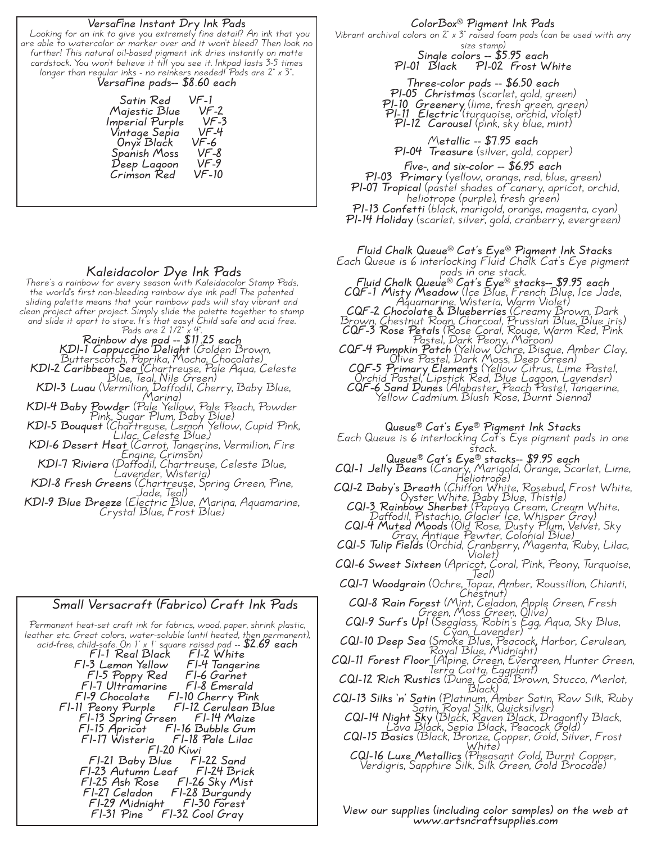#### **VersaFine Instant Dry Ink Pads**

Looking for an ink to give you extremely fine detail? An ink that you are able to watercolor or marker over and it won't bleed? Then look no further! This natural oil-based pigment ink dries instantly on matte cardstock. You won't believe it till you see it. Inkpad lasts 3-5 times longer than regular inks - no reinkers needed! Pads are 2" <sup>x</sup> 3".. **VersaFine pads-- \$8.60 each**

**Satin Red VF-1 Majestic Blue VF-2 Imperial Purple VF-3 Vintage Sepia VF-4 Onyx Black VF-6 Spanish Moss VF-8**  $Deep$  *Lagoon* **Crimson Red VF-10**

**Kaleidacolor Dye Ink Pads** There's <sup>a</sup> rainbow for every season with Kaleidacolor Stamp Pads, the world's first non-bleeding rainbow dye ink pad! The patented sliding palette means that your rainbow pads will stay vibrant and clean project after project. Simply slide the palette together to stamp<br>and slide it apart to store. It's that easy! Child safe and acid free.<br>Pads are  $2 \frac{1}{2} \times 4$ .<br>Rainbow dve pad -- \$11.25 each

**KDI-1 Cappuccino Delight** (Golden Brown, Butterscotch, Paprika, Mocha, Chocolate) **KDI-2 Caribbean Sea** (Chartreuse, Pale Aqua, Celeste Blue, Teal, Nile Green)

**KDI-3 Luau** (Vermilion, Daffodil, Cherry, Baby Blue, Marina)

**KDI-4 Baby Powder** (Pale Yellow, Pale Peach, Powder Pink, Sugar Plum, Baby Blue)

**KDI-5 Bouquet** (Chartreuse, Lemon Yellow, Cupid Pink, Lilac, Celeste Blue,)

**KDI-6 Desert Heat** (Carrot, Tangerine, Vermilion, Fire r (Carroi, ianger<br>Engine, Crimson)

**KDI-7 Riviera** (Daffodil, Chartreuse, Celeste Blue, Lavender, Wisteria)

**KDI-8 Fresh Greens** (Chartreuse, Spring Green, Pine, Jade, Teal)

**KDI-9 Blue Breeze** (Electric Blue, Marina, Aquamarine, Crystal Blue, Frost Blue)



**ColorBox® Pigment Ink Pads**

Vibrant archival colors on 2" x 3" raised foam pads (can be used with any size stamp) **Single colors -- \$5.95 each**

**PI-01 Black PI-02 Frost White**

**Three-color pads -- \$6.50 each PI-05 Christmas** (scarlet, gold, green) **PI-10 Greenery** (lime, fresh green, green) **PI-11 Electric** (turquoise, orchid, violet) **PI-12 Carousel** (pink, sky blue, mint)

M**etallic -- \$7.95 each PI-04 Treasure** (silver, gold, copper)

**Five-, and six-color -- \$6.95 each**

**PI-03 Primary** (yellow, orange, red, blue, green) **PI-07 Tropical** (pastel shades of canary, apricot, orchid, heliotrope (purple), fresh green) **PI-13 Confetti** (black, marigold, orange, magenta, cyan)

**PI-14 Holiday** (scarlet, silver, gold, cranberry, evergreen)

**Fluid Chalk Queue® Cat's Eye® Pigment Ink Stacks**

Each Queue is 6 interlocking Fluid Chalk Cat's Eye pigment pads in one stack. **Fluid Chalk Queue® Cat's Eye® stacks-- \$9.95 each**

**CQF-1 Misty Meadow** (Ice Blue, French Blue, Ice Jade, Aquamarine, Wisteria, Warm Violet)

**CQF-2 Chocolate & Blueberries** (Creamy Brown, Dark Brown, Chestnut Roan, Charcoal, Prussian Blue, Blue iris)

**CQF-3 Rose Petals** (Rose Coral, Rouge, Warm Red, Pink Pastel, Dark Peony, Maroon)

r astel, Dark Teony, Maroon)<br>C**QF-4 Pumpkin Patch** (Yellow Ochre, Bisque, Amber Clay,<br>Olive Pastel, Dark Moss, Deep Green) **CQF-5 Primary Elements** (Yellow Citrus, Lime Pastel, Orchid Pastel, Lipstick Red, Blue Lagoon, Lavender)

**CQF-6 Sand Dunes** (Alabaster, Peach Pastel, Tangerine, Yellow Cadmium. Blush Rose, Burnt Sienna)

**Queue® Cat's Eye® Pigment Ink Stacks**

Each Queue is 6 interlocking Cat's Eye pigment pads in one stack. **Queue® Cat's Eye® stacks-- \$9.95 each**

**CQI-1 Jelly Beans** (Canary, Marigold, Orange, Scarlet, Lime, Heliotrope)

**CQI-2 Baby's Breath** (Chiffon White, Rosebud, Frost White, Oyster White, Baby Blue, Thistle)

**CQI-3 Rainbow Sherbet** (Papaya Cream, Cream White, Daffodil, Pistachio, Glacier Ice, Whisper Gray) **CQI-4 Muted Moods** (Old Rose, Dusty Plum, Velvet, Sky Gray, Antique Pewter, Colonial Blue)

**CQI-5 Tulip Fields** (Orchid, Cranberry, Magenta, Ruby, Lilac, Violet)

**CQI-6 Sweet Sixteen** (Apricot, Coral, Pink, Peony, Turquoise, Teal)

**CQI-7 Woodgrain** (Ochre, Topaz, Amber, Roussillon, Chianti,

**CQI-8 Rain Forest** (Mint, Celadon, Apple Green, Fresh Green, Moss Green, Olive)

**CQI-9 Surf's Up!** (Seaglass, Robin's Egg, Aqua, Sky Blue, Cyan, Lavender)

**CQI-10 Deep Sea** (Smoke Blue, Peacock, Harbor, Cerulean, Royal Blue, Midnight)

**CQI-11 Forest Floor** (Alpine, Green, Evergreen, Hunter Green, Terra Cotta, Eggplant)

**CQI-12 Rich Rustics** (Dune, Cocoa, Brown, Stucco, Merlot, Black)

**CQI-13 Silks 'n' Satin** (Platinum, Amber Satin, Raw Silk, Ruby Satin, Royal Silk, Quicksilver)

**CQI-14 Night Sky** (Black, Raven Black, Dragonfly Black, Lava Black, Sepia Black, Peacock Gold) **CQI-15 Basics** (Black, Bronze, Copper, Gold, Silver, Frost

White) **CQI-16 Luxe Metallics** (Pheasant Gold, Burnt Copper, Verdigris, Sapphire Silk, Silk Green, Gold Brocade)

**FI-31 Pine FI-32 Cool Gray View our supplies (including color samples) on the web at www.artsncraftsupplies.com**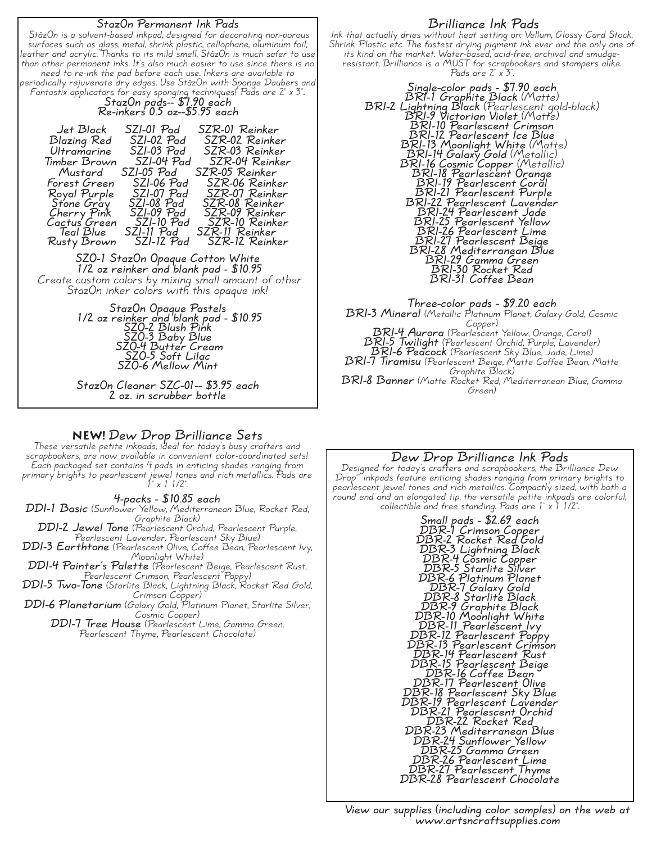| StazOn Permanent Ink Pads<br>StâzOn is a solvent-based inkpad, designed for decorating non-porous<br>surfaces such as glass, metal, shrink plastic, cellophane, aluminum foil,<br>leather and acrylic. Thanks to its mild smell, StâzOn is much safer to use<br>than other permanent inks. It's also much easier to use since there is no<br>need to re-ink the pad before each use. Inkers are available to<br>periodically rejuvenate dry edges. Use StåzOn with Sponge Daubers and<br>Fantastix applicators for easy sponging techniques! Pads are 2" x 3".<br>StazOn pads-- \$7.90 each<br>Re-inkers 0.5 oz--\$5.95 each |  |  |  |
|------------------------------------------------------------------------------------------------------------------------------------------------------------------------------------------------------------------------------------------------------------------------------------------------------------------------------------------------------------------------------------------------------------------------------------------------------------------------------------------------------------------------------------------------------------------------------------------------------------------------------|--|--|--|
| SZR-01 Reinker<br>Jet Black<br>SZI-01 Pad<br>Blazing Red<br>SZI-02 Pad<br>SZR-02 Reinker<br>Ultramarine<br>$SZI-03$ $Pad$<br>SZR-03 Reinker<br>SZI-04 Pad<br>SZR-04 Reinker<br>Timber Brown<br>SZI-05 Pad<br>SZR-05 Reinker<br>Mustard<br>$SZI-06$ $Pad$<br>SZR-06 Reinker<br>Forest Green<br>SZR-07 Reinker<br>$SZI-07$ $Pad$<br>Royal Purple<br>Sidne Gray SZI-07 Pad<br>Stone Gray SZI-08 Pad<br>Cherry Pink SZI-09 Pad<br>SZR-08 Reinker<br>SZR-09 Reinker<br>SZR-10 Reinker<br>SZI-11 Pad<br>SZR-11 Reinker<br>Teal Blue<br>$SZI-12$ $Pad$<br>SZR-12 Reinker<br>Rusty Brown                                             |  |  |  |
| SZO-1 StazOn Opaque Cotton White<br>1/2 oz reinker and blank pad - \$10.95<br>Create custom colors by mixing small amount of other<br>StazOn inker colors with this opaque ink!                                                                                                                                                                                                                                                                                                                                                                                                                                              |  |  |  |
| StazOn Opaque Pastels<br>1/2 oz reinker and blank pad - \$10.95<br>220-2 Blush Pink<br>SZO-3 Buby Blue<br>SZO-4 Butter Cream<br>SZO-5 Soft Lilac<br>SZO-6 Mellow Mint                                                                                                                                                                                                                                                                                                                                                                                                                                                        |  |  |  |
| StazOn Cleaner SZC-01-- \$3.95 each                                                                                                                                                                                                                                                                                                                                                                                                                                                                                                                                                                                          |  |  |  |

# **NEW! Dew Drop Brilliance Sets**

**2 oz. in scrubber bottle**

These versatile petite inkpads, ideal for today's busy crafters and scrapbookers, are now available in convenient color-coordinated sets! Each packaged set contains <sup>4</sup> pads in enticing shades ranging from primary brights to pearlescent jewel tones and rich metallics. Pads are  $1 - x$  1 1/2".

#### **4-packs - \$10.85 each**

**DDI-1 Basic** (Sunflower Yellow, Mediterranean Blue, Rocket Red, **DDI-2 Jewel Tone** (Pearlescent Orchid, Pearlescent Purple, Pearlescent Lavender, Pearlescent Sky Blue) reariescent Cavenaer, Fearlescent Sky Dide)<br>**DDI-3 Earthtone** (Pearlescent Olive, Coffee Bean, Pearlescent Ivy,<br>Moonlight White) Moonlight White)<br>**DDI-4 Painter's Palette** (Pearlescent Beige, Pearlescent Rust,<br>**Pearlescent Crimson, Pearlescent Poppy) DDI-5 Two-Tone** (Starlite Black, Lightning Black, Rocket Red Gold, Crimson Copper)<br>**DDI-6 Planetarium** (Galaxy Gold, Platinum Planet, Starlite Silver,<br>Cosmic Copper) **DDI-7 Tree House** (Pearlescent Lime, Gamma Green, Pearlescent Thyme, Pearlescent Chocolate)

# **Brilliance Ink Pads**

Ink that actually dries without heat setting on: Vellum, Glossy Card Stock, Shrink Plastic etc. The fastest drying pigment ink ever and the only one of its kind on the market. Water-based, acid-free, archival and smudge-<br>its kind on the market. Water-based, acid-free, archival and smudge-<br>resistant, Brilliance is a MUST for scrapbookers and stampers alike.<br>Pads are 2" x 3

Pads are 2" x'3".<br>
Single-color pads - \$7.90 each<br>
BRI-1 Graphite Black (Matte)<br>
BRI-10 Fearlescent gold-black)<br>
BRI-10 Fearlescent Crimson<br>
BRI-10 Fearlescent Crimson<br>
BRI-12 Pearlescent Crimson<br>
BRI-12 Pearlescent Lee Bl

**Three-color pads - \$9.20 each BRI-3 Mineral** (Metallic Platinum Planet, Galaxy Gold, Cosmic Copper)<br>BRI-4 Aurora (Pearlescent Yellow, Orange, Coral)<br>BRI-5 Twilight (Pearlescent Orchid, Purple, Lavender)<br>BRI-6 Peacock (Pearlescent Sky Blue, Jade, Lime)<br>BRI-7 Tiramisu (Pearlescent Beige, Matte Coffee Bean, Matte Graphite Black) **BRI-8 Banner** (Matte Rocket Red, Mediterranean Blue, Gamma Green)

#### **Dew Drop Brilliance Ink Pads**

Designed for today's crafters and scrapbookers, the Brilliance Dew<br>Drop<sup>\*</sup> inkpads feature enticing shades ranging from primary brights to<br>pearlescent jewel tones and rich metallics. Compactly sized, with both a<br>round end

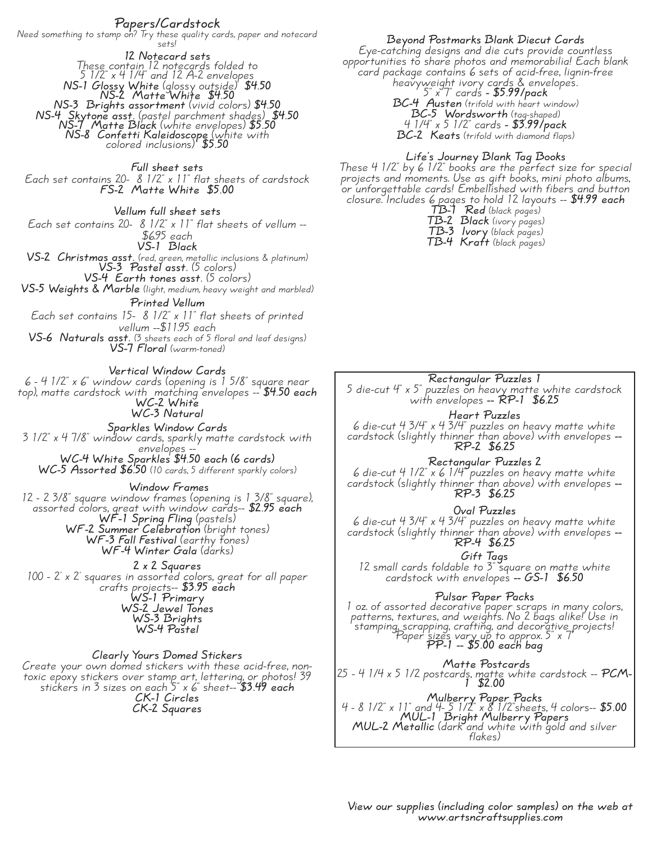# **Papers/Cardstock**

Need something to stamp on? Try these quality cards, paper and notecard<br>sets!

**12 Notecard sets** These contain <sup>12</sup> notecards folded to <sup>5</sup> 1/2" <sup>x</sup> <sup>4</sup> 1/4" and <sup>12</sup> A-2 envelopes **NS-1 Glossy White** (glossy outside) **\$4.50 NS-2 Matte White \$4.50 NS-3 Brights assortment** (vivid colors) **\$4.50 NS-4 Skytone asst.** (pastel parchment shades) **\$4.50 NS-7 Matte Black** (white envelopes) **\$5.50 NS-8 Confetti Kaleidoscope** (white with colored inclusions) **\$5.50**

**Full sheet sets** Each set contains 20- 8 1/2" x 11" flat sheets of cardstock **FS-2 Matte White \$5.00**

**Vellum full sheet sets** Each set contains 20-  $8\frac{1}{2}$  x  $11$ " flat sheets of vellum --**VS-1 Black VS-2 Christmas asst.** (red, green, metallic inclusions & platinum) **VS-3 Pastel asst.** (5 colors) **VS-4 Earth tones asst.** (5 colors) **VS-5 Weights & Marble** (light, medium, heavy weight and marbled) **Printed Vellum** Each set contains 15- 8 1/2" x 11" flat sheets of printed

vellum --\$11.95 each **VS-6 Naturals asst.** (3 sheets each of 5 floral and leaf designs) **VS-7 Floral** (warm-toned)

**Vertical Window Cards** 6 - 4 1/2" x 6" window cards (opening is 1 5/8" square near

top), matte cardstock with matching envelopes -- **\$4.50 each WC-2 White WC-3 Natural Sparkles Window Cards** 3 1/2" x 4 7/8" window cards, sparkly matte cardstock with

envelopes -- **WC-4 White Sparkles \$4.50 each (6 cards) WC-5 Assorted \$6.50** (10 cards, 5 different sparkly colors)

**Window Frames**

<sup>12</sup> - <sup>2</sup> 3/8" square window frames (opening is <sup>1</sup> 3/8" square), assorted colors, great with window cards-- **\$2.95 each WF-1 Spring Fling** (pastels) **WF-2 Summer Celebration** (bright tones) **WF-3 Fall Festival** (earthy tones) **WF-4 Winter Gala** (darks)

**2 x 2 Squares** 100 - 2' x 2' squares in assorted colors, great for all paper crafts projects-- **\$3.95 each WS-1 Primary WS-2 Jewel Tones WS-3 Brights WS-4 Pastel**

**Clearly Yours Domed Stickers** Create your own domed stickers with these acid-free, nontoxic epoxy stickers over stamp art, lettering, or photos! 39<br>stickers in 3 sizes on each 5" x 6" sheet-- **\$3.49** each **CK-1 Circles CK-2 Squares**

**Beyond Postmarks Blank Diecut Cards**

Eye-catching designs and die cuts provide countless opportunities to share photos and memorabilia! Each blank card package contains 6 sets of acid-free, lignin-free heavyweight ivory cards & envelopes**.** 5" <sup>x</sup> 7" cards **- \$5.99/pack BC-4 Austen** (trifold with heart window) **BC-5 Wordsworth** (tag-shaped) 4 1/4" x 5 1/2" cards **- \$3.99/pack**

**BC-2 Keats** (trifold with diamond flaps)

# **Life's Journey Blank Tag Books**

These 4 1/2" by 6 1/2" books are the perfect size for special projects and moments. Use as gift books, mini photo albums, or unforgettable cards! Embellished with fibers and button closure. Includes 6 pages to hold 12 layouts -- **\$4.99 each**

**TB-1 Red** (black pages) **TB-2 Black** (ivory pages) **TB-3 Ivory** (black pages) **TB-4 Kraft** (black pages)

**Rectangular Puzzles 1** 5 die-cut 4" x 5" puzzles on heavy matte white cardstock with envelopes **-- RP-1 \$6.25**

**Heart Puzzles** 6 die-cut 4 3/4" x 4 3/4" puzzles on heavy matte white cardstock (slightly thinner than above) with envelopes **-- RP-2 \$6.25**

**Rectangular Puzzles 2** 6 die-cut 4 1/2" x 6 1/4" puzzles on heavy matte white cardstock (slightly thinner than above) with envelopes **-- RP-3 \$6.25**

**Oval Puzzles** 6 die-cut 4 3/4" x 4 3/4" puzzles on heavy matte white cardstock (slightly thinner than above) with envelopes **-- RP-4 \$6.25**

**Gift Tags** 12 small cards foldable to 3" square on matte white cardstock with envelopes **-- GS-1 \$6.50**

**Pulsar Paper Packs** <sup>1</sup> oz. of assorted decorative paper scraps in many colors, patterns, textures, and weights. No <sup>2</sup> bags alike! Use in stamping, scrapping, crafting, and decorative projects! Paper sizes vary up to approx. 5" <sup>x</sup> 7" **PP-1 -- \$5.00 each bag**

**Matte Postcards** <sup>25</sup> - <sup>4</sup> 1/4 <sup>x</sup> <sup>5</sup> 1/2 postcards, matte white cardstock -- **PCM- <sup>1</sup> \$2.00**

**Mulberry Paper Packs** 4 - 8 1/2" x 11" and 4- 5 1/2" x 8 1/2"sheets, 4 colors-- **\$5.00 MUL-1 Bright Mulberry Papers MUL-2 Metallic** (dark and white with gold and silver flakes)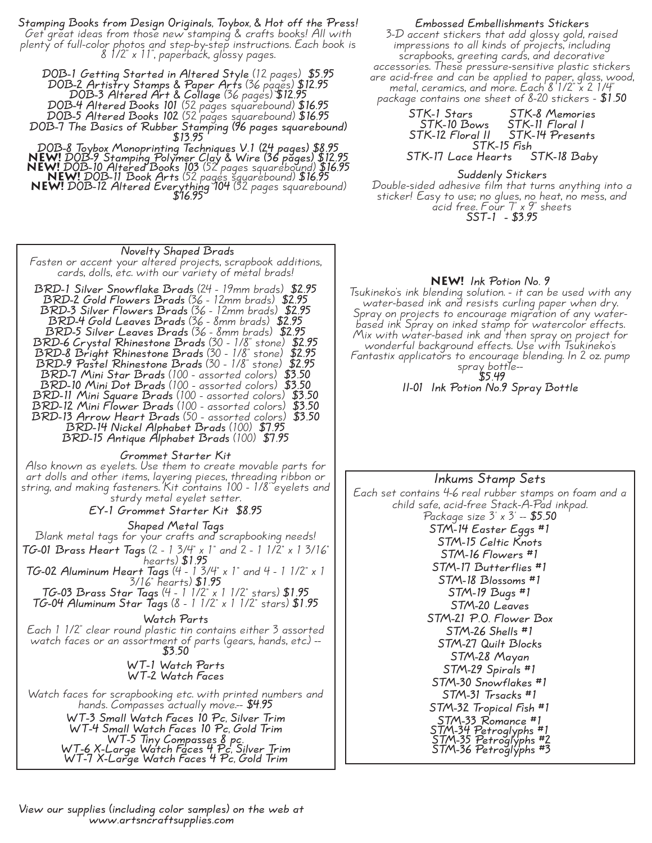**Stamping Books from Design Originals, Toybox, & Hot off the Press!** Get great ideas from those new stamping & crafts books! All with plenty of full-color photos and step-by-step instructions. Each book is 8 1/2" x 11", paperback, glossy pages.

**DOB-1 Getting Started in Altered Style** (12 pages) **\$5.95 DOB-2 Artistry Stamps & Paper Arts** (36 pages) **\$12.95 DOB-3 Altered Art & Collage** (36 pages) **\$12.95 DOB-4 Altered Books 101** (52 pages squarebound) **\$16.95 DOB-5 Altered Books 102** (52 pages squarebound) **\$16.95 DOB-7 The Basics of Rubber Stamping (96 pages squarebound) \$13.95**

**DOB-8 Toybox Monoprinting Techniques V.1 (24 pages) \$8.95 NEW! DOB-9 Stamping Polymer Clay & Wire (36 pages) \$12.95 NEW! DOB-10 Altered Books 103** (52 pages squarebound) **\$16.95 NEW! DOB-11 Book Arts** (52 pages squarebound) **\$16.95 NEW! DOB-12 Altered Everything <sup>104</sup>** (52 pages squarebound) **\$16.95**

#### **Novelty Shaped Brads**

Fasten or accent your altered projects, scrapbook additions, cards, dolls, etc. with our variety of metal brads!

**BRD-1 Silver Snowflake Brads** (24 - 19mm brads) **\$2.95 BRD-2 Gold Flowers Brads** (36 - 12mm brads) **\$2.95 BRD-3 Silver Flowers Brads** (36 - 12mm brads) **\$2.95 BRD-4 Gold Leaves Brads** (36 - 8mm brads) **\$2.95 BRD-5 Silver Leaves Brads** (36 - 8mm brads) **\$2.95 BRD-6 Crystal Rhinestone Brads** (30 - 1/8" stone) **\$2.95 BRD-8 Bright Rhinestone Brads** (30 - 1/8" stone) **\$2.95 BRD-9 Pastel Rhinestone Brads** (30 - 1/8" stone) **\$2.95 BRD-7 Mini Star Brads** (100 - assorted colors) **\$3.50 BRD-10 Mini Dot Brads** (100 - assorted colors) **\$3.50 BRD-11 Mini Square Brads** (100 - assorted colors) **\$3.50 BRD-12 Mini Flower Brads** (100 - assorted colors) **\$3.50 BRD-13 Arrow Heart Brads** (50 - assorted colors) **\$3.50 BRD-14 Nickel Alphabet Brads** (100) **\$7.95 BRD-15 Antique Alphabet Brads** (100) **\$7.95**

**Grommet Starter Kit**

Also known as eyelets. Use them to create movable parts for art dolls and other items, layering pieces, threading ribbon or string, and making fasteners. Kit contains 100 - 1/8' eyelets and sturdy metal eyelet setter.

**EY-1 Grommet Starter Kit \$8.95**

**Shaped Metal Tags**

Blank metal tags for your crafts and scrapbooking needs! **TG-01 Brass Heart Tags** (2 - <sup>1</sup> 3/4" <sup>x</sup> 1" and <sup>2</sup> - <sup>1</sup> 1/2" <sup>x</sup> <sup>1</sup> 3/16" hearts) **\$1.95 TG-02 Aluminum Heart Tags** (4 - 1 3/4" x 1" and 4 - 1 1/2" x 1 3/16" hearts) **\$1.95 TG-03 Brass Star Tags** (4 - 1 1/2" x 1 1/2" stars) **\$1.95 TG-04 Aluminum Star Tags** (8 - 1 1/2" x 1 1/2" stars) **\$1.95**

**Watch Parts**

Each 1 1/2" clear round plastic tin contains either 3 assorted watch faces or an assortment of parts (gears, hands, etc.) -- **\$3.50**

**WT-1 Watch Parts WT-2 Watch Faces**

Watch faces for scrapbooking etc. with printed numbers and hands. Compasses actually move.-- **\$4.95**

**WT-3 Small Watch Faces 10 Pc, Silver Trim WT-4 Small Watch Faces 10 Pc, Gold Trim WT-5 Tiny Compasses <sup>8</sup> pc. WT-6 X-Large Watch Faces <sup>4</sup> Pc, Silver Trim WT-7 X-Large Watch Faces 4 Pc, Gold Trim**

**Embossed Embellishments Stickers**

3-D accent stickers that add glossy gold, raised impressions to all kinds of projects, including scrapbooks, greeting cards, and decorative accessories. These pressure-sensitive plastic stickers are acid-free and can be applied to paper, glass, wood, metal, ceramics, and more. Each <sup>8</sup> 1/2" <sup>x</sup> <sup>2</sup> 1/4" package contains one sheet of 8-20 stickers - **\$1.50**

**STK-1 Stars STK-8 Memories STK-10 Bows STK-11 Floral I STK-12 Floral II STK-14 Presents STK-15 Fish STK-17 Lace Hearts STK-18 Baby**

**Suddenly Stickers** Double-sided adhesive film that turns anything into a sticker! Easy to use; no glues, no heat, no mess, and acid free. Four 7" x 9" sheets **SST-1 - \$3.95**

#### **NEW! Ink Potion No. 9**

Tsukineko's ink blending solution. - it can be used with any water-based ink and resists curling paper when dry. Spray on projects to encourage migration of any water- based ink Spray on inked stamp for watercolor effects. Mix with water-based ink and then spray on project for wonderful background effects. Use with Tsukineko's Fantastix applicators to encourage blending. In 2 oz. pump spray bottle-- **\$5.49**

**II-01 Ink Potion No.9 Spray Bottle**

# **Inkums Stamp Sets** Each set contains 4-6 real rubber stamps on foam and a child safe, acid-free Stack-A-Pad inkpad. Package size 3' <sup>x</sup> 3' -- **\$5.50 STM-14 Easter Eggs #1 STM-15 Celtic Knots STM-16 Flowers #1 STM-17 Butterflies #1 STM-18 Blossoms #1 STM-19 Bugs #1 STM-20 Leaves STM-21 P.O. Flower Box STM-26 Shells #1 STM-27 Quilt Blocks STM-28 Mayan STM-29 Spirals #1 STM-30 Snowflakes #1 STM-31 Trsacks #1 STM-32 Tropical Fish #1 STM-33 Romance #1 STM-34 Petroglyphs #1 STM-35 Petroglyphs #2 STM-36 Petroglyphs #3**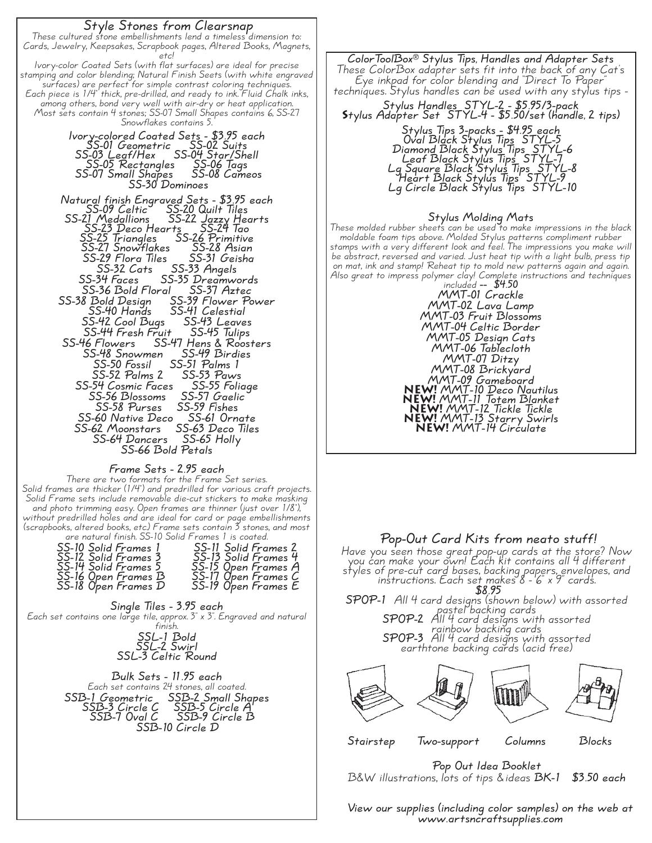# **Style Stones from Clearsnap** These cultured stone embellishments lend <sup>a</sup> timeless dimension to: Cards, Jewelry, Keepsakes, Scrapbook pages, Altered Books, Magnets, etc! lvory-color Coated Sets (with flat surfaces) are ideal for precise<br>stamping and color blending; Natural Finish Seets (with white engraved<br>surfaces) are perfect for simple contrast coloring techniques.<br>Each piece is 1/4" th Snowflakes contains 5. **Ivory-colored Coated Sets - \$3.95 each SS-01 Geometric SS-02 Suits SS-03 Leaf/Hex SS-04 Star/Shell SS-05 Rectangles SS-06 Tags SS-07 Small Shapes SS-08 Cameos SS-30 Dominoes Natural finish Engraved Sets - \$3.95 each SS-09 Celtic SS-20 Quilt Tiles SS-21 Medallions SS-22 Jazzy Hearts SS-23 Deco Hearts SS-24 Tao SS-25 Triangles SS-26 Primitive SS-27 Snowflakes SS-28 Asian SS-29 Flora Tiles SS-31 Geisha SS-32 Cats SS-33 Angels SS-34 Faces SS-35 Dreamwords SS-36 Bold Floral SS-37 Aztec SS-38 Bold Design SS-39 Flower Power SS-40 Hands SS-41 Celestial SS-42 Cool Bugs SS-43 Leaves SS-44 Fresh Fruit SS-45 Tulips SS-46 Flowers SS-47 Hens & Roosters SS-48 Snowmen SS-49 Birdies SS-50 Fossil SS-51 Palms 1 SS-52 Palms 2 SS-53 Paws SS-54 Cosmic Faces SS-55 Foliage SS-56 Blossoms SS-57 Gaelic SS-58 Purses SS-59 Fishes SS-60 Native Deco SS-61 Ornate SS-62 Moonstars SS-63 Deco Tiles SS-64 Dancers SS-65 Holly SS-66 Bold Petals**

**Frame Sets - 2.95 each**

There are two formats for the Frame Set series.<br>Solid frames are thicker (1/4") and predrilled for various craft projects.<br>Solid Frame sets include removable die-cut stickers to make masking<br>and photo trimming easy. Open f

| are natural mish. JJ-10 JUNA Francs Fis couled. |                      |
|-------------------------------------------------|----------------------|
| SS-10 Solid Frames 1                            | SS-11 Solid Frames 2 |
| SS-12 Solid Frames 3                            | SS-13 Solid Frames 4 |
| SS-14 Solid Frames 5                            | SS-15 Open Frames A  |
| SS-16 Open Frames B                             | SS-17 Open Frames C  |
| SS-18 O'pen Frames D                            | SS-19 Open Frames E  |

**Single Tiles - 3.95 each** Each set contains one large tile, approx. 3" x 3". Engraved and natural finish. **SSL-1 Bold SSL-2 Swirl**

# **SSL-3 Celtic Round**

**Bulk Sets - 11.95 each** Each set contains 24 stones, all coated. **SSB-1 Geometric SSB-2 Small Shapes SSB-3 Circle C SSB-5 Circle A SSB-7 Oval C SSB-9 Circle B SSB-10 Circle D**

**ColorToolBox® Stylus Tips, Handles and Adapter Sets** These ColorBox adapter sets fit into the back of any Cat's Eye inkpad for color blending and "Direct To Paper" techniques. Stylus handles can be used with any stylus tips -

**Stylus Handles STYL-2 - \$5.95/3-pack Stylus Adapter Set STYL-4 - \$5.50/set (handle, 2 tips)**

#### **Stylus Tips 3-packs - \$4.95 each Oval Black Stylus Tips STYL-5 Diamond Black Stylus Tips STYL-6 Leaf Black Stylus Tips STYL-7 Lg Square Black Stylus Tips STYL-8 Heart Black Stylus Tips STYL-9 Lg Circle Black Stylus Tips STYL-10**

**Stylus Molding Mats** These moldable foam tips above. Molded Stylus patterns compliment rubber<br>stamps with a very different look and feel. The impressions you make will<br>be abstract, reversed and varied. Just heat tip with a light bulb, press ti on mat, ink and stamp! Reheat tip to mold new patterns again and again.<br>Also great to impress polymer clay! Complete instructions and techniques<br>included -- \$4.50

**MMT-01 Crackle MMT-02 Lava Lamp MMT-03 Fruit Blossoms MMT-04 Celtic Border MMT-05 Design Cats MMT-06 Tablecloth MMT-07 Ditzy MMT-08 Brickyard MMT-09 Gameboard NEW! MMT-10 Deco Nautilus NEW! MMT-11 Totem Blanket NEW! MMT-12 Tickle Tickle NEW! MMT-13 Starry Swirls NEW! MMT-14 Circulate**

# **Pop-Out Card Kits from neato stuff!**

Have you seen those great pop-up cards at the store? Now you can make your own! Each kit contains all 4 different you can make your own: Cach Kir comains air ramerem<br>styles of pre-cut card bases, backing papers, envelopes, and instructions. Each set makes <sup>8</sup> - 6" <sup>x</sup> 9" cards. **\$8.95**

**SPOP-1** All 4 card designs (shown below) with assorted a aesigns (snown bei<br>pastel backing cards **SPOP-2** All 4 card designs with assorted r in 'n cara aesigns win<br>rainbow backing cards **SPOP-3** All 4 card designs with assorted earthtone backing cards (acid free)



**Stairstep Two-support Columns Blocks**

**Pop Out Idea Booklet** B&W illustrations, lots of tips &ideas **BK-1 \$3.50 each**

**View our supplies (including color samples) on the web at www.artsncraftsupplies.com**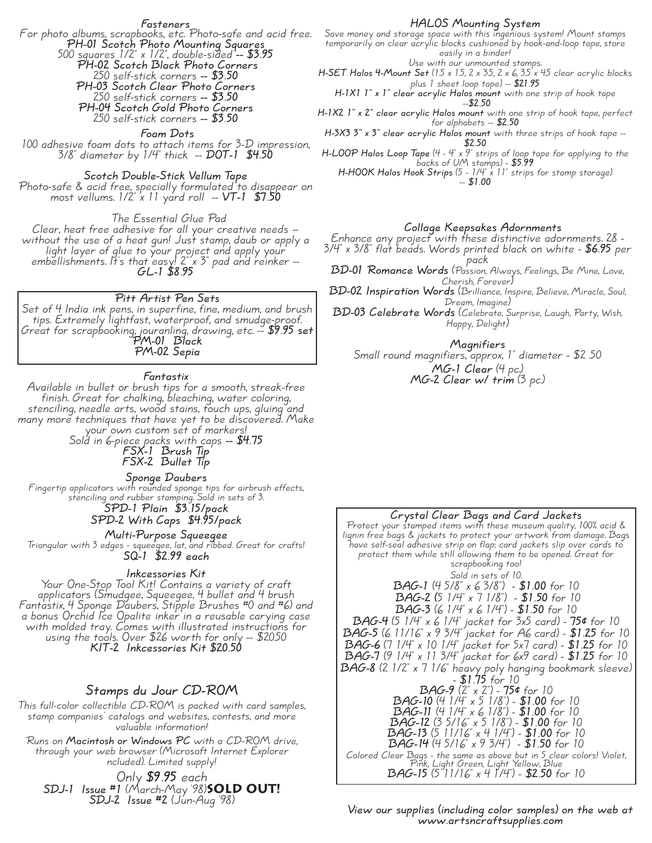**Fasteners**

For photo albums, scrapbooks, etc. Photo-safe and acid free. **PH-01 Scotch Photo Mounting Squares** 500 squares 1/2" x 1/2", double-sided **-- \$3.95 PH-02 Scotch Black Photo Corners** 250 self-stick corners **-- \$3.50 PH-03 Scotch Clear Photo Corners** 250 self-stick corners **-- \$3.50 PH-04 Scotch Gold Photo Corners**

250 self-stick corners **-- \$3.50**

**Foam Dots**

<sup>100</sup> adhesive foam dots to attach items for 3-D impression, 3/8" diameter by 1/4" thick -- **DOT-1 \$4.50**

**Scotch Double-Stick Vellum Tape**

Photo-safe & acid free, specially formulated to disappear on most vellums. 1/2" x 11 yard roll -- **VT-1 \$7.50**

The Essential Glue Pad

Clear, heat free adhesive for all your creative needs — without the use of <sup>a</sup> heat gun! Just stamp, daub or apply <sup>a</sup> light layer of glue to your project and apply your embellishments. It's that easy! 2" <sup>x</sup> 3" pad and reinker -- **GL-1 \$8.95**

**Pitt Artist Pen Sets**

Set of 4 India ink pens, in superfine, fine, medium, and brush tips. Extremely lightfast, waterproof, and smudge-proof. Great for scrapbooking, jouranling, drawing, etc. - \$9.95 set<br>**PM-01** Black **PM-02 Sepia**

**Fantastix**

Available in bullet or brush tips for a smooth, streak-free finish. Great for chalking, bleaching, water coloring, stenciling, needle arts, wood stains, touch ups, gluing and many more techniques that have yet to be discovered. Make your own custom set of markers!

Sold in 6-piece packs with caps **-- \$4.75 FSX-1 Brush Tip FSX-2 Bullet Tip**

**Sponge Daubers** Fingertip applicators with rounded sponge tips for airbrush effects, stenciling and rubber stamping. Sold in sets of 3. **SPD-1 Plain \$3.15/pack**

**SPD-2 With Caps \$4.95/pack Multi-Purpose Squeegee**

Triangular with 3 edges - squeegee, lat, and ribbed. Great for crafts! **SQ-1 \$2.99 each**

#### **Inkcessories Kit**

Your One-Stop Tool Kit! Contains a variety of craft applicators (Smudgee, Squeegee, 4 bullet and 4 brush Fantastix, 4 Sponge Daubers, Stipple Brushes #0 and #6) and a bonus Orchid Ice Opalite inker in a reusable carying case with molded tray. Comes with illustrated instructions for using the tools. Over \$26 worth for only -- \$20.50 **KIT-2 Inkcessories Kit \$20.50**

## **Stamps du Jour CD-ROM**

This full-color collectible CD-ROM is packed with card samples, stamp companies' catalogs and websites, contests, and more valuable information!

Runs on **Macintosh or Windows PC** with <sup>a</sup> CD-ROM drive, through your web browser (Microsoft Internet Explorer ncluded). Limited supply!

Only **\$9.95** each **SDJ-1 Issue #1** (March-May '98)**SOLD out! SDJ-2 Issue #2** (Jun-Aug '98)

#### **HALOS Mounting System**

Save money and storage space with this ingenious system! Mount stamps temporarily on clear acrylic blocks cushioned by hook-and-loop tape, store easily in a binder!

Use with our unmounted stamps.

**H-SET** Halos 4-Mount Set (15 x 15, 2 x 35, 2 x 6, 35 x 45 clear acrylic blocks plus 1 sheet loop tape) -- **\$21.95**

**H-1X1 1" <sup>x</sup> 1" clear acrylic Halos mount** with one strip of hook tape --**\$2.50**

**H-1X2 1" x 2" clear acrylic Halos mount** with one strip of hook tape, perfect for alphabets -- **\$2.50**

**H-3X3 3" x 3" clear acrylic Halos mount** with three strips of hook tape -- **\$2.50**

**H-LOOP Halos Loop Tape** (4 - 4" x 9" strips of loop tape for applying to the backs of UM stamps) - **\$5.99 H-HOOK Halos Hook Strips** (5 - 1/4" <sup>x</sup> 11" strips for stamp storage) -- **\$1.00**

#### **Collage Keepsakes Adornments**

Enhance any project with these distinctive adornments. <sup>28</sup> - 3/4" <sup>x</sup> 3/8" flat beads. Words printed black on white - **\$6.95** per n mn<br>pack

**BD-01 Romance Words** (Passion, Always, Feelings, Be Mine, Love, Cherish, Forever)

**BD-02 Inspiration Words** (Brilliance, Inspire, Believe, Miracle, Soul, Dream, Imagine)

**BD-03 Celebrate Words** (Celebrate, Surprise, Laugh, Party, Wish, Happy, Delight)

**Magnifiers** Small round magnifiers, approx, 1" diameter - \$2 .50 **MG-1 Clear** (4 pc.) **MG-2 Clear w/ trim** (3 pc.)

### **Crystal Clear Bags and Card Jackets** Protect your stamped items with these museum quality, 100% acid & lignin free bags & jackets to protect your artwork from damage. Bags have self-seal adhesive strip on flap; card jackets slip over cards to protect them while still allowing them to be opened. Great for scrapbooking too! Sold in sets of 10. **BAG-1** (4 5/8" x 6 3/8") - **\$1.00** for 10 **BAG-2 (**5 1/4" x 7 1/8") - **\$1.50** for 10 **BAG-3** (6 1/4" x 6 1/4") - **\$1.50** for 10 **BAG-4** (5 1/4" x 6 1/4" jacket for 3x5 card) - **75¢** for 10 **BAG-5** (6 11/16" x 9 3/4" jacket for A6 card) - **\$1.25** for 10 **BAG-6** (7 1/4" x 10 1/4" jacket for 5x7 card) - **\$1.25** for 10 **BAG-7** (9 1/4" x 11 3/4" jacket for 6x9 card) - **\$1.25** for 10 **BAG-8** (2 1/2" <sup>x</sup> <sup>7</sup> 1/6" heavy poly hanging bookmark sleeve) - **\$1.75** for <sup>10</sup> **BAG-9** (2" x 2") - **75¢** for 10 **BAG-10** (4 1/4" x 5 1/8") - **\$1.00** for 10 **BAG-11** (4 1/4" x 6 1/8") - **\$1.00** for 10 **BAG-12** (3 5/16" x 5 1/8") - **\$1.00** for 10 **BAG-13** (5 11/16" x 4 1/4") - **\$1.00** for 10 **BAG-14** (4 5/16" x 9 3/4") - **\$1.50** for 10 Colored Clear Bags - the same as above but in 5 clear colors! Violet, **BAG-15** (5 11/16" x 4 1/4") - **\$2.50** for 10

**View our supplies (including color samples) on the web at www.artsncraftsupplies.com**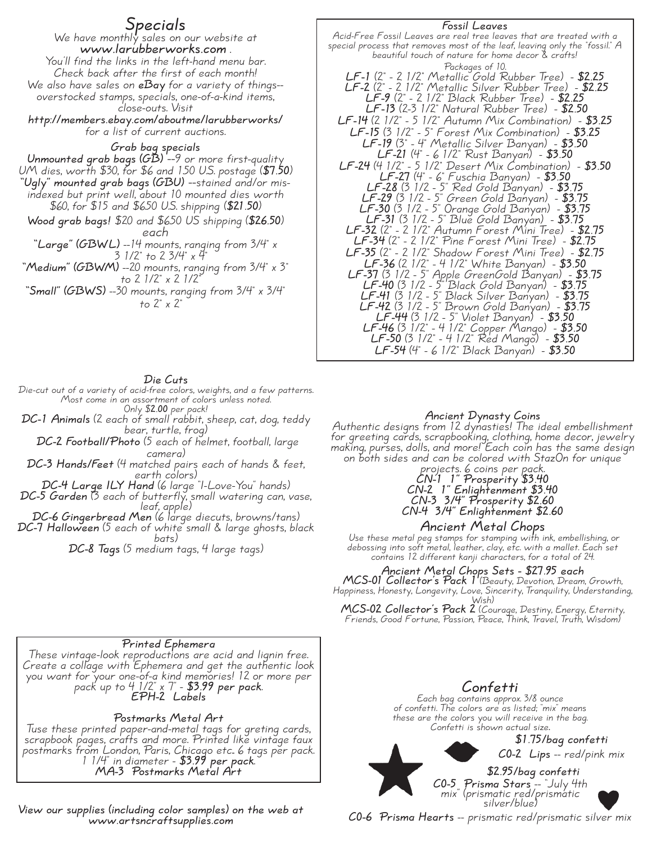# **Specials**

We have monthly sales on our website at www.larubberworks.com<br>
You'll find the links in the left-hand menu bar.<br>
Check back after the first of each month! Check back after the first of each month!<br>We also have sales on **eBay** for a variety of things--<br>overstocked stamps, specials, one-of-a-kind items,<br>close-outs. Visit

**http://members.ebay.com/aboutme/larubberworks/** for a list of current auctions.

**Grab bag specials** UM dies, worth \$30, for \$6 and 150 U.S. postage (\$7.50)<br>"Ugly" mounted grab bags (GBU) --stained and/or misimdexed but print well, about 10 mounted dies worth \$60, for \$15 and \$6.50 U.S. shipping (**\$21.50**)

**Wood grab bags!** \$20 and \$6.50 US shipping (**\$26.50**) each **"Large" (GBWL)** --14 mounts, ranging from 3/4" <sup>x</sup>

<sup>3</sup> 1/2" to 2 3/4" x 4"<br> **"Medium" (GBWM)** --20 mounts, ranging from 3/4" x 3"<br> **"Small" (GBWS)** --30 mounts, ranging from 3/4" x 3/4"<br>
to 2" x 2"

#### **Die Cuts**

Die-cut out of <sup>a</sup> variety of acid-free colors, weights, and <sup>a</sup> few patterns. Most come in an assortment of colors unless noted. Only \$**2.00** per pack!

**DC-1 Animals** (2 each of small rabbit, sheep, cat, dog, teddy bear, turtle, frog)

**DC-2 Football/Photo** (5 each of helmet, football, large camera)

**DC-3 Hands/Feet** (4 matched pairs each of hands & feet, earth colors)

**DC-4 Large ILY Hand** (6 large "I-Love-You" hands)

**DC-5 Garden** (3 each of butterfly, small watering can, vase, leaf, apple)

**DC-6 Gingerbread Men** (6 large diecuts, browns/tans) **DC-7 Halloween** (5 each of white small & large ghosts, black vrini<br>bats)

**DC-8 Tags** (5 medium tags, 4 large tags)

## **Printed Ephemera**

These vintage-look reproductions are acid and lignin free. Create <sup>a</sup> collage with Ephemera and get the authentic look you want for your one-of-a kind memories! 12 or more per pack up to <sup>4</sup> 1/2" <sup>x</sup> 7" - **\$3.99 per pack**. **EPH-2 Labels**

# **Postmarks Metal Art**

Tuse these printed paper-and-metal tags for greting cards, scrapbook pages, crafts and more. Printed like vintage faux postmarks from London, Paris, Chicago etc.. <sup>6</sup> tags per pack. <sup>1</sup> 1/4" in diameter - **\$3.99 per pack**. **MA-3 Postmarks Metal Art**

**View our supplies (including color samples) on the web at www.artsncraftsupplies.com**

**Fossil Leaves** Acid-Free Fossil Leaves are real tree leaves that are treated with <sup>a</sup> special process that removes most of the leaf, leaving only the "fossil." <sup>A</sup> beautiful touch of nature for home decor & crafts! Packages of 10. **LF-1** (2" - 2 1/2" Metallic Gold Rubber Tree) - **\$2.25 LF-2** (2" - 2 1/2" Metallic Silver Rubber Tree) - **\$2.25 LF-9** (2" - 2 1/2" Black Rubber Tree) - **\$2.25 LF-13** (2-3 1/2" Natural Rubber Tree) - **\$2.50 LF-14** (2 1/2" - 5 1/2" Autumn Mix Combination) - **\$3.25 LF-15** (3 1/2" - 5" Forest Mix Combination) - **\$3.25 LF-19** (3" - 4" Metallic Silver Banyan) - **\$3.50 LF-21** (4" - 6 1/2" Rust Banyan) - **\$3.50 LF-24** (4 1/2" - 5 1/2" Desert Mix Combination) - **\$3.50 LF-27** (4" - 6" Fuschia Banyan) - **\$3.50 LF-28** (3 1/2 - 5" Red Gold Banyan) - **\$3.75 LF-29** (3 1/2 - 5" Green Gold Banyan) - **\$3.75 LF-30** (3 1/2 - 5" Orange Gold Banyan) - **\$3.75 LF-31** (3 1/2 - 5" Blue Gold Banyan) - **\$3.75 LF-32** (2" - 2 1/2" Autumn Forest Mini Tree) - **\$2.75 LF-34** (2" - 2 1/2" Pine Forest Mini Tree) - **\$2.75 LF-35** (2" - 2 1/2" Shadow Forest Mini Tree) - **\$2.75 LF-36** (2 1/2" - 4 1/2" White Banyan) - **\$3.50 LF-37** (3 1/2 - 5" Apple GreenGold Banyan) - **\$3.75 LF-40** (3 1/2 - 5" Black Gold Banyan) - **\$3.75 LF-41** (3 1/2 - 5" Black Silver Banyan) - **\$3.75 LF-42** (3 1/2 - 5" Brown Gold Banyan) - **\$3.75 LF-44** (3 1/2 - 5" Violet Banyan) - **\$3.50 LF-46** (3 1/2" - 4 1/2" Copper Mango) - **\$3.50**

# **Ancient Dynasty Coins**

**LF-50** (3 1/2" - 4 1/2" Red Mango) - **\$3.50 LF-54** (4" - 6 1/2" Black Banyan) - **\$3.50**

Authentic designs from 12 dynasties! The ideal embellishment for greeting cards, scrapbooking, clothing, home decor, jewelry making, purses, dolls, and more! Each coin has the same design on both sides and can be colored with StazOn for unique

# projects. <sup>6</sup> coins per pack. **CN-1 1" Prosperity \$3.40 CN-2 1" Enlightenment \$3.40 CN-3 3/4" Prosperity \$2.60 CN-4 3/4" Enlightenment \$2.60**

# **Ancient Metal Chops**

Use these metal peg stamps for stamping with ink, embellishing, or debossing into soft metal, leather, clay, etc. with <sup>a</sup> mallet. Each set debossing into soft metal, leather, clay, etc. with a mallet. Each set<br>contains 12 different kanji characters, for a total of 24.

# **Ancient Metal Chops Sets - \$27.95 each**

**MCS-01 Collector's Pack <sup>1</sup>** (Beauty, Devotion, Dream, Growth, Happiness, Honesty, Longevity, Love, Sincerity, Tranquility, Understanding, Wish)

**MCS-02 Collector's Pack <sup>2</sup>** (Courage, Destiny, Energy, Eternity, Friends, Good Fortune, Passion, Peace, Think, Travel, Truth, Wisdom)

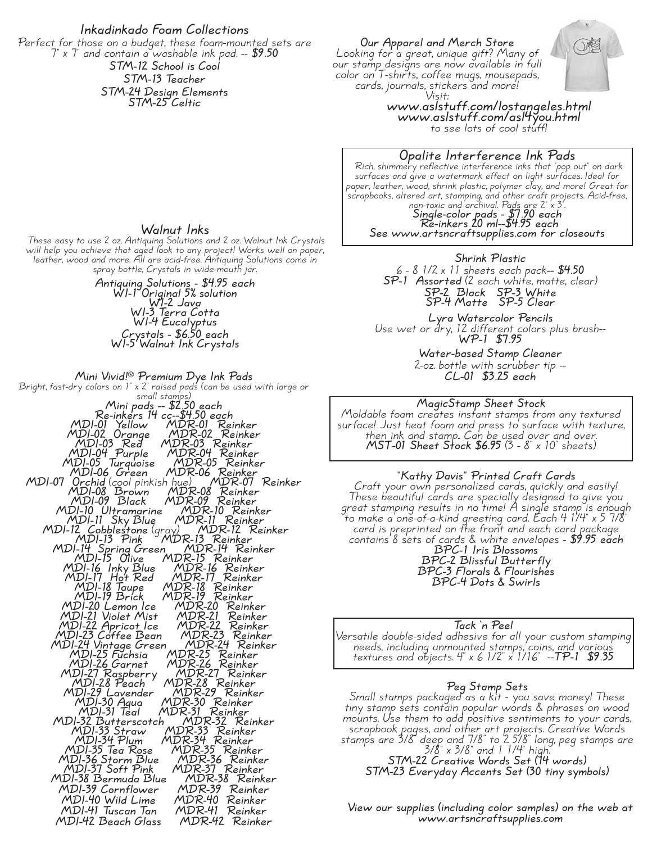#### **Inkadinkado Foam Collections**

Perfect for those on a budget, these foam-mounted sets are 7" x 7" and contain a washable ink pad. -- **\$9.50 STM-12 School is Cool STM-13 Teacher STM-24 Design Elements**

**STM-25 Celtic**

**Our Apparel and Merch Store**

Looking for <sup>a</sup> great, unique gift? Many of our stamp designs are now available in full color on T-shirts, coffee mugs, mousepads,<br>cards, journals, stickers and more!<br>Visit:



Visit: **www.aslstuff.com/lostangeles.html www.aslstuff.com/asl4you.html** to see lots of cool stuff!

**Opalite Interference Ink Pads**<br>Rich, shimmery reflective interference inks that "pop out" on dark<br>surfaces and give a watermark effect on light surfaces. Ideal for Rich, shimmery reflective interference inks that "pop out" on dark<br>surfaces and give a watermark effect on light surfaces. Ideal for<br>paper, leather, wood, shrink plastic, polymer clay, and morel Great for<br>scrapbooks, alte **Re-inkers 20 ml--\$4.95 each**

**See www.artsncraftsupplies.com for closeouts**

#### **Shrink Plastic**

6 - 8 1/2 x 11 sheets each pack**-- \$4.50 SP-1 Assorted** (2 each white, matte, clear) **SP-2 Black SP-3 White SP-4 Matte SP-5 Clear**

**Lyra Watercolor Pencils** Use wet or dry, <sup>12</sup> different colors plus brush-- **WP-1 \$7.95**

**Water-based Stamp Cleaner** 2-oz. bottle with scrubber tip -- **CL-01 \$3.25 each**

#### **MagicStamp Sheet Stock**

Moldable foam creates instant stamps from any textured surface! Just heat foam and press to surface with texture, then ink and stamp.. Can be used over and over. **MST-01 Sheet Stock \$6.95** (3 - 8" <sup>x</sup> 10" sheets)

# **"Kathy Davis" Printed Craft Cards**

Craft your own personalized cards, quickly and easily! These beautiful cards are specially designed to give you mese begannar caras are specially designed to give you<br>great stamping results in no time! A single stamp is enough to make <sup>a</sup> one-of-a-kind greeting card. Each <sup>4</sup> 1/4" <sup>x</sup> <sup>5</sup> 7/8" card is preprinted on the front and each card package contains 8 sets of cards & white envelopes - **\$9.95 each BPC-1 Iris Blossoms BPC-2 Blissful Butterfly BPC-3 Florals & Flourishes BPC-4 Dots & Swirls**

**Tack 'n Peel** Versatile double-sided adhesive for all your custom stamping needs, including unmounted stamps, coins, and various textures and objects. 4" x 6 1/2" x 1/16" --**TP-1 \$9.35**

# **Peg Stamp Sets**

Small stamps packaged as a kit - you save money! These tiny stamp sets contain popular words & phrases on wood mounts. Use them to add positive sentiments to your cards, scrapbook pages, and other art projects. Creative Words stamps are 3/8" deep and 7/8" to 2 5/8" long, peg stamps are 3/8" <sup>x</sup> 3/8" and <sup>1</sup> 1/4" high. **STM-22 Creative Words Set (14 words) STM-23 Everyday Accents Set (30 tiny symbols)**

#### **View our supplies (including color samples) on the web at www.artsncraftsupplies.com**

#### **Walnut Inks**

These easy to use 2 oz. Antiquing Solutions and 2 oz. Walnut Ink Crystals<br>will help you achieve that aged look to any project! Works well on paper,<br>leather, wood and more. All are acid-free. Antiquing Solutions come in<br>spr

**Antiquing Solutions - \$4.95 each WI-1 Original 5% solution WI-2 Java WI-3 Terra Cotta WI-4 Eucalyptus Crystals - \$6.50 each WI-5 Walnut Ink Crystals**

**Mini Vivid!® Premium Dye Ink Pads**

Bright, fast-dry colors on 1" <sup>x</sup> 2" raised pads (can be used with large or small stamps) **Mini pads -- \$2.50 each Re-inkers 14 cc--\$4.50 each** MDI-01 Yellow MDR-30 Reinker<br>
MDI-01 Yellow MDR-03 Reinker<br>
MDI-03 Red MDR-03 Reinker<br>
MDI-03 Red MDR-03 Reinker<br>
MDI-05 Turquoise MDR-05 Reinker<br>
MDI-05 Turquoise MDR-05 Reinker<br>
MDI-06 Green MDR-06 Reinker<br>
MDI-07 Orchid